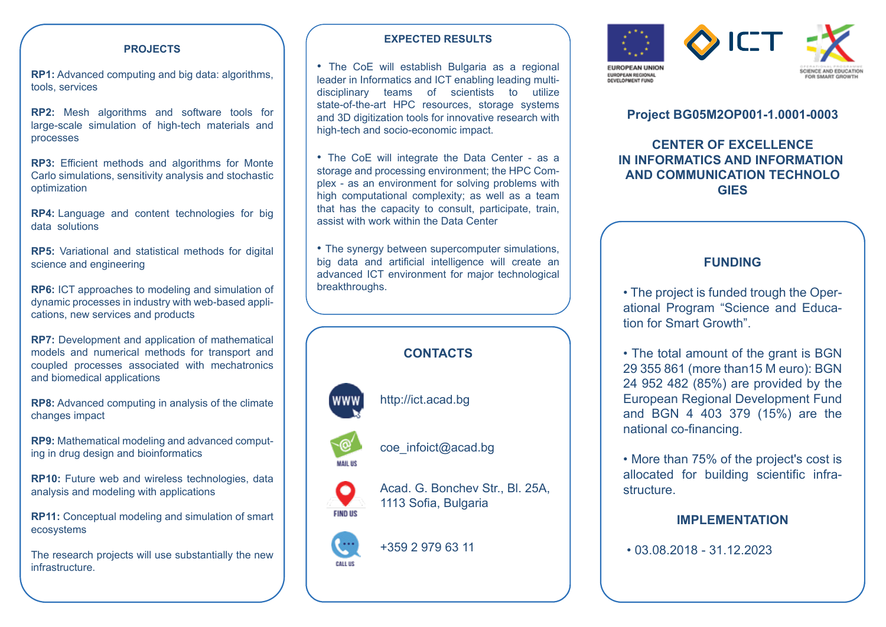#### **PROJECTS**

**RP1:** Advanced computing and big data: algorithms, tools, services

**RP2:** Mesh algorithms and software tools for large-scale simulation of high-tech materials and processes

**RP3:** Efficient methods and algorithms for Monte Carlo simulations, sensitivity analysis and stochastic optimization

**RP4:** Language and content technologies for big data solutions

**RP5:** Variational and statistical methods for digital science and engineering

**RP6:** ICT approaches to modeling and simulation of dynamic processes in industry with web-based applications, new services and products

**RP7:** Development and application of mathematical models and numerical methods for transport and coupled processes associated with mechatronics and biomedical applications

**RP8:** Advanced computing in analysis of the climate changes impact

**RP9:** Mathematical modeling and advanced computing in drug design and bioinformatics

**RP10:** Future web and wireless technologies, data analysis and modeling with applications

**RP11:** Conceptual modeling and simulation of smart ecosystems

The research projects will use substantially the new infrastructure.

#### **EXPECTED RESULTS**

• The CoE will establish Bulgaria as a regional leader in Informatics and ICT enabling leading multidisciplinary teams of scientists to utilize state-of-the-art HPC resources, storage systems and 3D digitization tools for innovative research with high-tech and socio-economic impact.

• The CoE will integrate the Data Center - as a storage and processing environment; the HPC Complex - as an environment for solving problems with high computational complexity; as well as a team that has the capacity to consult, participate, train, assist with work within the Data Center

• The synergy between supercomputer simulations, big data and artificial intelligence will create an advanced ICT environment for major technological breakthroughs.

## **CONTACTS**

http://ict.acad.bg



**FIND US** 

coe\_infoict@acad.bg

Acad. G. Bonchev Str., Bl. 25A, 1113 Sofia, Bulgaria

# +359 2 979 63 11 CALL US



## **Project BG05M2OP001-1.0001-0003**

**CENTER OF EXCELLENCE IN INFORMATICS AND INFORMATION AND COMMUNICATION TECHNOLO GIES**

## **FUNDING**

• The project is funded trough the Operational Program "Science and Education for Smart Growth".

• The total amount of the grant is BGN 29 355 861 (more than15 M euro): BGN 24 952 482 (85%) are provided by the European Regional Development Fund and BGN 4 403 379 (15%) are the national co-financing.

• More than 75% of the project's cost is allocated for building scientific infrastructure.

### **IMPLEMENTATION**

• 03.08.2018 - 31.12.2023